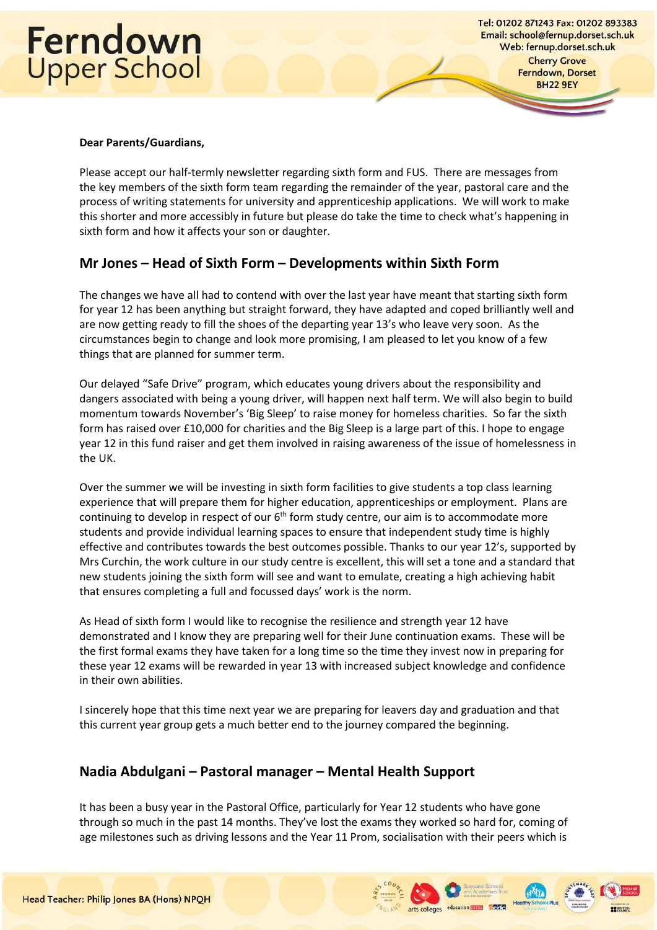# Ferndown<br>Upper School

Tel: 01202 871243 Fax: 01202 893383 Email: school@fernup.dorset.sch.uk Web: fernup.dorset.sch.uk **Cherry Grove** Ferndown, Dorset **BH22 9EY** 

#### **Dear Parents/Guardians,**

Please accept our half-termly newsletter regarding sixth form and FUS. There are messages from the key members of the sixth form team regarding the remainder of the year, pastoral care and the process of writing statements for university and apprenticeship applications. We will work to make this shorter and more accessibly in future but please do take the time to check what's happening in sixth form and how it affects your son or daughter.

### **Mr Jones – Head of Sixth Form – Developments within Sixth Form**

The changes we have all had to contend with over the last year have meant that starting sixth form for year 12 has been anything but straight forward, they have adapted and coped brilliantly well and are now getting ready to fill the shoes of the departing year 13's who leave very soon. As the circumstances begin to change and look more promising, I am pleased to let you know of a few things that are planned for summer term.

Our delayed "Safe Drive" program, which educates young drivers about the responsibility and dangers associated with being a young driver, will happen next half term. We will also begin to build momentum towards November's 'Big Sleep' to raise money for homeless charities. So far the sixth form has raised over £10,000 for charities and the Big Sleep is a large part of this. I hope to engage year 12 in this fund raiser and get them involved in raising awareness of the issue of homelessness in the UK.

Over the summer we will be investing in sixth form facilities to give students a top class learning experience that will prepare them for higher education, apprenticeships or employment. Plans are continuing to develop in respect of our  $6<sup>th</sup>$  form study centre, our aim is to accommodate more students and provide individual learning spaces to ensure that independent study time is highly effective and contributes towards the best outcomes possible. Thanks to our year 12's, supported by Mrs Curchin, the work culture in our study centre is excellent, this will set a tone and a standard that new students joining the sixth form will see and want to emulate, creating a high achieving habit that ensures completing a full and focussed days' work is the norm.

As Head of sixth form I would like to recognise the resilience and strength year 12 have demonstrated and I know they are preparing well for their June continuation exams. These will be the first formal exams they have taken for a long time so the time they invest now in preparing for these year 12 exams will be rewarded in year 13 with increased subject knowledge and confidence in their own abilities.

I sincerely hope that this time next year we are preparing for leavers day and graduation and that this current year group gets a much better end to the journey compared the beginning.

### **Nadia Abdulgani – Pastoral manager – Mental Health Support**

It has been a busy year in the Pastoral Office, particularly for Year 12 students who have gone through so much in the past 14 months. They've lost the exams they worked so hard for, coming of age milestones such as driving lessons and the Year 11 Prom, socialisation with their peers which is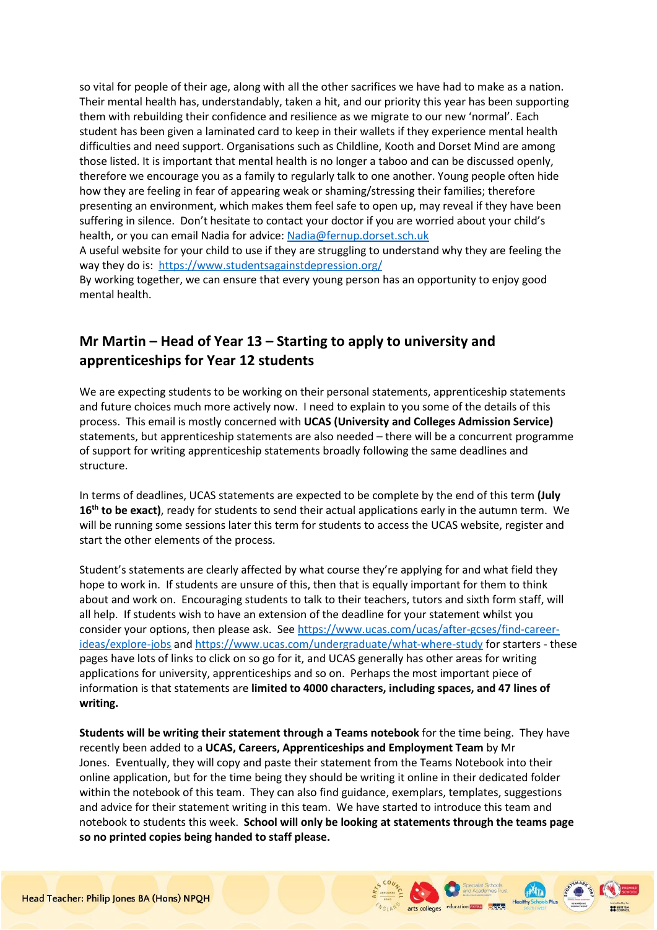so vital for people of their age, along with all the other sacrifices we have had to make as a nation. Their mental health has, understandably, taken a hit, and our priority this year has been supporting them with rebuilding their confidence and resilience as we migrate to our new 'normal'. Each student has been given a laminated card to keep in their wallets if they experience mental health difficulties and need support. Organisations such as Childline, Kooth and Dorset Mind are among those listed. It is important that mental health is no longer a taboo and can be discussed openly, therefore we encourage you as a family to regularly talk to one another. Young people often hide how they are feeling in fear of appearing weak or shaming/stressing their families; therefore presenting an environment, which makes them feel safe to open up, may reveal if they have been suffering in silence. Don't hesitate to contact your doctor if you are worried about your child's health, or you can email Nadia for advice: [Nadia@fernup.dorset.sch.uk](mailto:Nadia@fernup.dorset.sch.uk)

A useful website for your child to use if they are struggling to understand why they are feeling the way they do is: <https://www.studentsagainstdepression.org/>

By working together, we can ensure that every young person has an opportunity to enjoy good mental health.

## **Mr Martin – Head of Year 13 – Starting to apply to university and apprenticeships for Year 12 students**

We are expecting students to be working on their personal statements, apprenticeship statements and future choices much more actively now. I need to explain to you some of the details of this process. This email is mostly concerned with **UCAS (University and Colleges Admission Service)** statements, but apprenticeship statements are also needed – there will be a concurrent programme of support for writing apprenticeship statements broadly following the same deadlines and structure.

In terms of deadlines, UCAS statements are expected to be complete by the end of this term **(July 16th to be exact)**, ready for students to send their actual applications early in the autumn term. We will be running some sessions later this term for students to access the UCAS website, register and start the other elements of the process.

Student's statements are clearly affected by what course they're applying for and what field they hope to work in. If students are unsure of this, then that is equally important for them to think about and work on. Encouraging students to talk to their teachers, tutors and sixth form staff, will all help. If students wish to have an extension of the deadline for your statement whilst you consider your options, then please ask. Se[e https://www.ucas.com/ucas/after-gcses/find-career](https://www.ucas.com/ucas/after-gcses/find-career-ideas/explore-jobs)[ideas/explore-jobs](https://www.ucas.com/ucas/after-gcses/find-career-ideas/explore-jobs) and<https://www.ucas.com/undergraduate/what-where-study> for starters - these pages have lots of links to click on so go for it, and UCAS generally has other areas for writing applications for university, apprenticeships and so on. Perhaps the most important piece of information is that statements are **limited to 4000 characters, including spaces, and 47 lines of writing.**

**Students will be writing their statement through a Teams notebook** for the time being. They have recently been added to a **UCAS, Careers, Apprenticeships and Employment Team** by Mr Jones. Eventually, they will copy and paste their statement from the Teams Notebook into their online application, but for the time being they should be writing it online in their dedicated folder within the notebook of this team. They can also find guidance, exemplars, templates, suggestions and advice for their statement writing in this team. We have started to introduce this team and notebook to students this week. **School will only be looking at statements through the teams page so no printed copies being handed to staff please.**